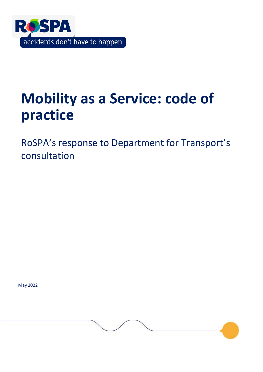

# **Mobility as a Service: code of practice**

RoSPA's response to Department for Transport's consultation

May 2022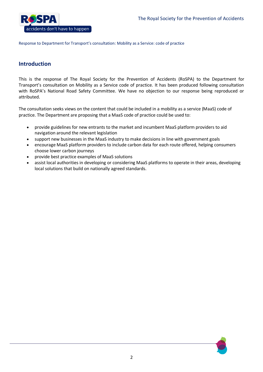

# **Introduction**

This is the response of The Royal Society for the Prevention of Accidents (RoSPA) to the Department for Transport's consultation on Mobility as a Service code of practice. It has been produced following consultation with RoSPA's National Road Safety Committee. We have no objection to our response being reproduced or attributed.

The consultation seeks views on the content that could be included in a mobility as a service (MaaS) code of practice. The Department are proposing that a MaaS code of practice could be used to:

- provide guidelines for new entrants to the market and incumbent MaaS platform providers to aid navigation around the relevant legislation
- support new businesses in the MaaS industry to make decisions in line with government goals
- encourage MaaS platform providers to include carbon data for each route offered, helping consumers choose lower carbon journeys
- provide best practice examples of MaaS solutions
- assist local authorities in developing or considering MaaS platforms to operate in their areas, developing local solutions that build on nationally agreed standards.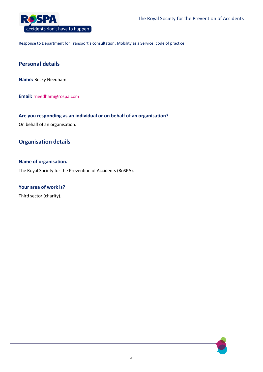

# **Personal details**

**Name:** Becky Needham

**Email:** [rneedham@rospa.com](mailto:rneedham@rospa.com)

# **Are you responding as an individual or on behalf of an organisation?**

On behalf of an organisation.

# **Organisation details**

## **Name of organisation.**

The Royal Society for the Prevention of Accidents (RoSPA).

# **Your area of work is?**

Third sector (charity).

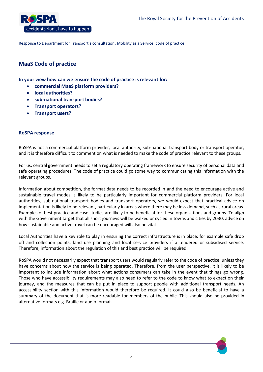

# **MaaS Code of practice**

**In your view how can we ensure the code of practice is relevant for:**

- **commercial MaaS platform providers?**
- **local authorities?**
- **sub-national transport bodies?**
- **Transport operators?**
- **Transport users?**

# **RoSPA response**

RoSPA is not a commercial platform provider, local authority, sub-national transport body or transport operator, and it is therefore difficult to comment on what is needed to make the code of practice relevant to these groups.

For us, central government needs to set a regulatory operating framework to ensure security of personal data and safe operating procedures. The code of practice could go some way to communicating this information with the relevant groups.

Information about competition, the format data needs to be recorded in and the need to encourage active and sustainable travel modes is likely to be particularly important for commercial platform providers. For local authorities, sub-national transport bodies and transport operators, we would expect that practical advice on implementation is likely to be relevant, particularly in areas where there may be less demand, such as rural areas. Examples of best practice and case studies are likely to be beneficial for these organisations and groups. To align with the Government target that all short journeys will be walked or cycled in towns and cities by 2030, advice on how sustainable and active travel can be encouraged will also be vital.

Local Authorities have a key role to play in ensuring the correct infrastructure is in place; for example safe drop off and collection points, land use planning and local service providers if a tendered or subsidised service. Therefore, information about the regulation of this and best practice will be required.

RoSPA would not necessarily expect that transport users would regularly refer to the code of practice, unless they have concerns about how the service is being operated. Therefore, from the user perspective, it is likely to be important to include information about what actions consumers can take in the event that things go wrong. Those who have accessibility requirements may also need to refer to the code to know what to expect on their journey, and the measures that can be put in place to support people with additional transport needs. An accessibility section with this information would therefore be required. It could also be beneficial to have a summary of the document that is more readable for members of the public. This should also be provided in alternative formats e.g. Braille or audio format.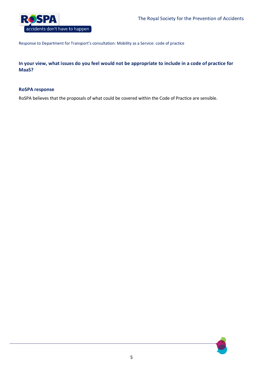

**In your view, what issues do you feel would not be appropriate to include in a code of practice for MaaS?**

## **RoSPA response**

RoSPA believes that the proposals of what could be covered within the Code of Practice are sensible.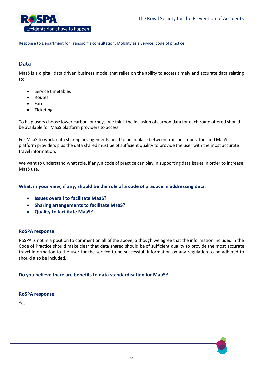

# **Data**

MaaS is a digital, data driven business model that relies on the ability to access timely and accurate data relating to:

- Service timetables
- Routes
- Fares
- Ticketing

To help users choose lower carbon journeys, we think the inclusion of carbon data for each route offered should be available for MaaS platform providers to access.

For MaaS to work, data sharing arrangements need to be in place between transport operators and MaaS platform providers plus the data shared must be of sufficient quality to provide the user with the most accurate travel information.

We want to understand what role, if any, a code of practice can play in supporting data issues in order to increase MaaS use.

# **What, in your view, if any, should be the role of a code of practice in addressing data:**

- **Issues overall to facilitate MaaS?**
- **Sharing arrangements to facilitate MaaS?**
- **Quality to facilitate MaaS?**

#### **RoSPA response**

RoSPA is not in a position to comment on all of the above, although we agree that the information included in the Code of Practice should make clear that data shared should be of sufficient quality to provide the most accurate travel information to the user for the service to be successful. Information on any regulation to be adhered to should also be included.

# **Do you believe there are benefits to data standardisation for MaaS?**

#### **RoSPA response**

Yes.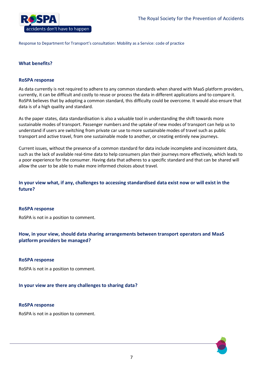

# **What benefits?**

## **RoSPA response**

As data currently is not required to adhere to any common standards when shared with MaaS platform providers, currently, it can be difficult and costly to reuse or process the data in different applications and to compare it. RoSPA believes that by adopting a common standard, this difficulty could be overcome. It would also ensure that data is of a high quality and standard.

As the paper states, data standardisation is also a valuable tool in understanding the shift towards more sustainable modes of transport. Passenger numbers and the uptake of new modes of transport can help us to understand if users are switching from private car use to more sustainable modes of travel such as public transport and active travel, from one sustainable mode to another, or creating entirely new journeys.

Current issues, without the presence of a common standard for data include incomplete and inconsistent data, such as the lack of available real-time data to help consumers plan their journeys more effectively, which leads to a poor experience for the consumer. Having data that adheres to a specific standard and that can be shared will allow the user to be able to make more informed choices about travel.

# **In your view what, if any, challenges to accessing standardised data exist now or will exist in the future?**

#### **RoSPA response**

RoSPA is not in a position to comment.

**How, in your view, should data sharing arrangements between transport operators and MaaS platform providers be managed?** 

#### **RoSPA response**

RoSPA is not in a position to comment.

#### **In your view are there any challenges to sharing data?**

#### **RoSPA response**

RoSPA is not in a position to comment.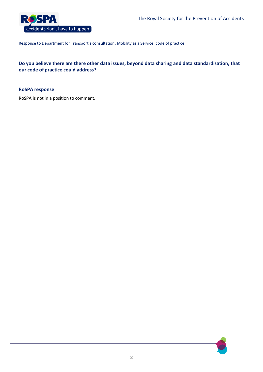

# **Do you believe there are there other data issues, beyond data sharing and data standardisation, that our code of practice could address?**

## **RoSPA response**

RoSPA is not in a position to comment.

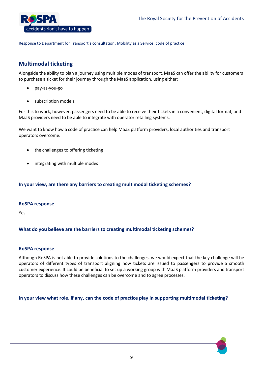

# **Multimodal ticketing**

Alongside the ability to plan a journey using multiple modes of transport, MaaS can offer the ability for customers to purchase a ticket for their journey through the MaaS application, using either:

- pay-as-you-go
- subscription models.

For this to work, however, passengers need to be able to receive their tickets in a convenient, digital format, and MaaS providers need to be able to integrate with operator retailing systems.

We want to know how a code of practice can help MaaS platform providers, local authorities and transport operators overcome:

- the challenges to offering ticketing
- integrating with multiple modes

# **In your view, are there any barriers to creating multimodal ticketing schemes?**

#### **RoSPA response**

Yes.

# **What do you believe are the barriers to creating multimodal ticketing schemes?**

#### **RoSPA response**

Although RoSPA is not able to provide solutions to the challenges, we would expect that the key challenge will be operators of different types of transport aligning how tickets are issued to passengers to provide a smooth customer experience. It could be beneficial to set up a working group with MaaS platform providers and transport operators to discuss how these challenges can be overcome and to agree processes.

**In your view what role, if any, can the code of practice play in supporting multimodal ticketing?**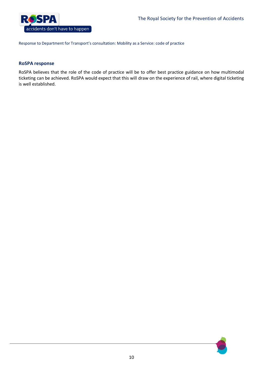

# **RoSPA response**

RoSPA believes that the role of the code of practice will be to offer best practice guidance on how multimodal ticketing can be achieved. RoSPA would expect that this will draw on the experience of rail, where digital ticketing is well established.

10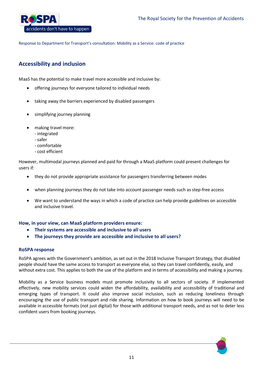

# **Accessibility and inclusion**

MaaS has the potential to make travel more accessible and inclusive by:

- offering journeys for everyone tailored to individual needs
- taking away the barriers experienced by disabled passengers
- simplifying journey planning
- making travel more:
	- integrated
	- safer
	- comfortable
	- cost efficient

However, multimodal journeys planned and paid for through a MaaS platform could present challenges for users if:

- they do not provide appropriate assistance for passengers transferring between modes
- when planning journeys they do not take into account passenger needs such as step-free access
- We want to understand the ways in which a code of practice can help provide guidelines on accessible and inclusive travel.

# **How, in your view, can MaaS platform providers ensure:**

- **Their systems are accessible and inclusive to all users**
- **The journeys they provide are accessible and inclusive to all users?**

#### **RoSPA response**

RoSPA agrees with the Government's ambition, as set out in the 2018 Inclusive Transport Strategy, that disabled people should have the same access to transport as everyone else, so they can travel confidently, easily, and without extra cost. This applies to both the use of the platform and in terms of accessibility and making a journey.

Mobility as a Service business models must promote inclusivity to all sectors of society. If implemented effectively, new mobility services could widen the affordability, availability and accessibility of traditional and emerging types of transport. It could also improve social inclusion, such as reducing loneliness through encouraging the use of public transport and ride sharing. Information on how to book journeys will need to be available in accessible formats (not just digital) for those with additional transport needs, and as not to deter less confident users from booking journeys.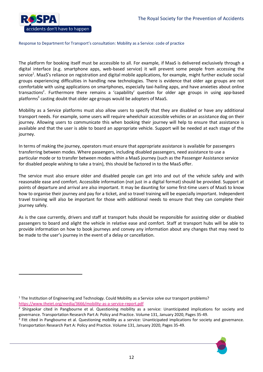

 $\overline{a}$ 

#### Response to Department for Transport's consultation: Mobility as a Service: code of practice

The platform for booking itself must be accessible to all. For example, if MaaS is delivered exclusively through a digital interface (e.g. smartphone apps, web-based service) it will prevent some people from accessing the service<sup>1</sup>. MaaS's reliance on registration and digital mobile applications, for example, might further exclude social groups experiencing difficulties in handling new technologies. There is evidence that older age groups are not comfortable with using applications on smartphones, especially taxi-hailing apps, and have anxieties about online transactions<sup>2</sup>. Furthermore there remains a 'capability' question for older age groups in using app-based platforms<sup>3</sup> casting doubt that older age groups would be adopters of MaaS.

Mobility as a Service platforms must also allow users to specify that they are disabled or have any additional transport needs. For example, some users will require wheelchair accessible vehicles or an assistance dog on their journey. Allowing users to communicate this when booking their journey will help to ensure that assistance is available and that the user is able to board an appropriate vehicle. Support will be needed at each stage of the journey.

In terms of making the journey, operators must ensure that appropriate assistance is available for passengers transferring between modes. Where passengers, including disabled passengers, need assistance to use a particular mode or to transfer between modes within a MaaS journey (such as the Passenger Assistance service for disabled people wishing to take a train), this should be factored in to the MaaS offer.

The service must also ensure older and disabled people can get into and out of the vehicle safely and with reasonable ease and comfort. Accessible information (not just in a digital format) should be provided. Support at points of departure and arrival are also important. It may be daunting for some first-time users of MaaS to know how to organise their journey and pay for a ticket, and so travel training will be especially important. Independent travel training will also be important for those with additional needs to ensure that they can complete their journey safely.

As is the case currently, drivers and staff at transport hubs should be responsible for assisting older or disabled passengers to board and alight the vehicle in relative ease and comfort. Staff at transport hubs will be able to provide information on how to book journeys and convey any information about any changes that may need to be made to the user's journey in the event of a delay or cancellation.

<sup>&</sup>lt;sup>3</sup> Fitt cited in Pangbourne et al. Questioning mobility as a service: Unanticipated implications for society and governance. Transportation Research Part A: Policy and Practice. Volume 131, January 2020, Pages 35-49.



<sup>&</sup>lt;sup>1</sup> The Institution of Engineering and Technology. Could Mobility as a Service solve our transport problems? <https://www.theiet.org/media/3666/mobility-as-a-service-report.pdf>

<sup>&</sup>lt;sup>2</sup> Shirgaokar cited in Pangbourne et al. Questioning mobility as a service: Unanticipated implications for society and governance. Transportation Research Part A: Policy and Practice. Volume 131, January 2020, Pages 35-49.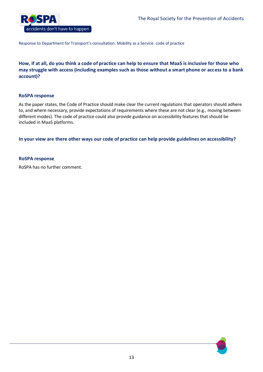

**How, if at all, do you think a code of practice can help to ensure that MaaS is inclusive for those who may struggle with access (including examples such as those without a smart phone or access to a bank account)?**

#### **RoSPA response**

As the paper states, the Code of Practice should make clear the current regulations that operators should adhere to, and where necessary, provide expectations of requirements where these are not clear (e.g., moving between different modes). The code of practice could also provide guidance on accessibility features that should be included in MaaS platforms.

**In your view are there other ways our code of practice can help provide guidelines on accessibility?**

## **RoSPA response**

RoSPA has no further comment.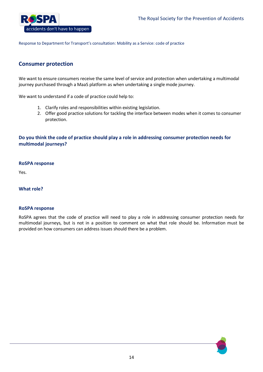

# **Consumer protection**

We want to ensure consumers receive the same level of service and protection when undertaking a multimodal journey purchased through a MaaS platform as when undertaking a single mode journey.

We want to understand if a code of practice could help to:

- 1. Clarify roles and responsibilities within existing legislation.
- 2. Offer good practice solutions for tackling the interface between modes when it comes to consumer protection.

# **Do you think the code of practice should play a role in addressing consumer protection needs for multimodal journeys?**

## **RoSPA response**

Yes.

**What role?** 

#### **RoSPA response**

RoSPA agrees that the code of practice will need to play a role in addressing consumer protection needs for multimodal journeys, but is not in a position to comment on what that role should be. Information must be provided on how consumers can address issues should there be a problem.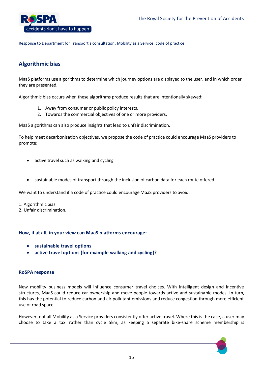

# **Algorithmic bias**

MaaS platforms use algorithms to determine which journey options are displayed to the user, and in which order they are presented.

Algorithmic bias occurs when these algorithms produce results that are intentionally skewed:

- 1. Away from consumer or public policy interests.
- 2. Towards the commercial objectives of one or more providers.

MaaS algorithms can also produce insights that lead to unfair discrimination.

To help meet decarbonisation objectives, we propose the code of practice could encourage MaaS providers to promote:

- active travel such as walking and cycling
- sustainable modes of transport through the inclusion of carbon data for each route offered

We want to understand if a code of practice could encourage MaaS providers to avoid:

1. Algorithmic bias.

2. Unfair discrimination.

# **How, if at all, in your view can MaaS platforms encourage:**

- **sustainable travel options**
- **active travel options (for example walking and cycling)?**

#### **RoSPA response**

New mobility business models will influence consumer travel choices. With intelligent design and incentive structures, MaaS could reduce car ownership and move people towards active and sustainable modes. In turn, this has the potential to reduce carbon and air pollutant emissions and reduce congestion through more efficient use of road space.

However, not all Mobility as a Service providers consistently offer active travel. Where this is the case, a user may choose to take a taxi rather than cycle 5km, as keeping a separate bike-share scheme membership is

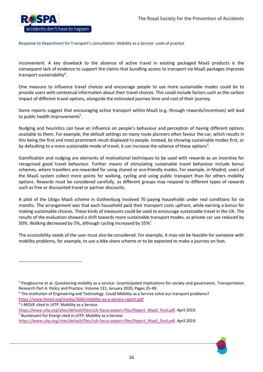

inconvenient. A key drawback to the absence of active travel in existing packaged MaaS products is the consequent lack of evidence to support the claims that bundling access to transport via MaaS packages improves transport sustainability<sup>4</sup>.

One measure to influence travel choices and encourage people to use more sustainable modes could be to provide users with contextual information about their travel choices. This could include factors such as the carbon impact of different travel options, alongside the estimated journey time and cost of their journey.

Some reports suggest that encouraging active transport within MaaS (e.g. through rewards/incentives) will lead to public health improvements $5$ .

Nudging and heuristics can have an influence on people's behaviour and perception of having different options available to them. For example, the default settings on many route planners often favour the car, which results in this being the first and most prominent result displayed to people. Instead, by showing sustainable modes first, or by defaulting to a more sustainable mode of travel, it can increase the salience of these options<sup>6</sup>.

Gamification and nudging are elements of motivational techniques to be used with rewards as an incentive for recognised good travel behaviour. Further means of stimulating sustainable travel behaviour include bonus schemes, where travellers are rewarded for using shared or eco-friendly modes. For example, in Madrid, users of the MaaS system collect more points for walking, cycling and using public transport than for others mobility options. Rewards must be considered carefully, as different groups may respond to different types of rewards such as free or discounted travel or partner discounts.

A pilot of the Ubigo MaaS scheme in Gothenburg involved 70 paying households under real conditions for six months. The arrangement was that each household paid their transport costs upfront, while earning a bonus for making sustainable choices. These kinds of measures could be used to encourage sustainable travel in the UK. The results of the evaluation showed a shift towards more sustainable transport modes, as private car use reduced by 50%. Walking decreased by 5%, although cycling increased by 35%<sup>7</sup>.

The accessibility needs of the user must also be considered. For example, it may not be feasible for someone with mobility problems, for example, to use a bike share scheme or to be expected to make a journey on foot.

 $\overline{a}$ 

<sup>4</sup> Pangbourne et al. Questioning mobility as a service: Unanticipated implications for society and governance. Transportation Research Part A: Policy and Practice. Volume 131, January 2020, Pages 35-49.

<sup>&</sup>lt;sup>5</sup> The Institution of Engineering and Technology. Could Mobility as a Service solve our transport problems? <https://www.theiet.org/media/3666/mobility-as-a-service-report.pdf>

<sup>6</sup> I-MOVE cited in UITP. Mobility as a Service.

[https://www.uitp.org/sites/default/files/cck-focus-papers-files/Report\\_MaaS\\_final.pdf.](https://www.uitp.org/sites/default/files/cck-focus-papers-files/Report_MaaS_final.pdf) April 2019.  $7$  Bundesamt für Energi cited in UITP. Mobility as a Service.

[https://www.uitp.org/sites/default/files/cck-focus-papers-files/Report\\_MaaS\\_final.pdf.](https://www.uitp.org/sites/default/files/cck-focus-papers-files/Report_MaaS_final.pdf) April 2019.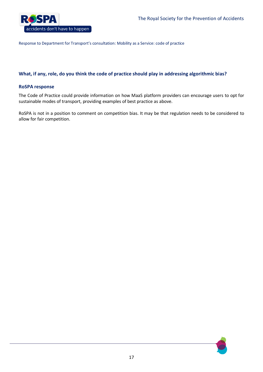

# **What, if any, role, do you think the code of practice should play in addressing algorithmic bias?**

#### **RoSPA response**

The Code of Practice could provide information on how MaaS platform providers can encourage users to opt for sustainable modes of transport, providing examples of best practice as above.

RoSPA is not in a position to comment on competition bias. It may be that regulation needs to be considered to allow for fair competition.

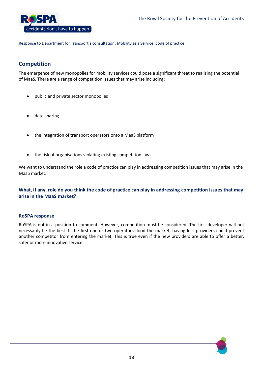

# **Competition**

The emergence of new monopolies for mobility services could pose a significant threat to realising the potential of MaaS. There are a range of competition issues that may arise including:

- public and private sector monopolies
- data sharing
- the integration of transport operators onto a MaaS platform
- the risk of organisations violating existing competition laws

We want to understand the role a code of practice can play in addressing competition issues that may arise in the MaaS market.

# **What, if any, role do you think the code of practice can play in addressing competition issues that may arise in the MaaS market?**

#### **RoSPA response**

RoSPA is not in a position to comment. However, competition must be considered. The first developer will not necessarily be the best. If the first one or two operators flood the market, having less providers could prevent another competitor from entering the market. This is true even if the new providers are able to offer a better, safer or more innovative service.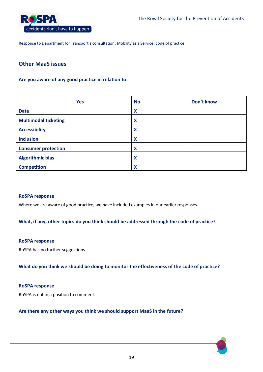

# **Other MaaS issues**

# **Are you aware of any good practice in relation to:**

|                             | <b>Yes</b> | <b>No</b>                 | Don't know |
|-----------------------------|------------|---------------------------|------------|
| <b>Data</b>                 |            | X                         |            |
| <b>Multimodal ticketing</b> |            | $\boldsymbol{\mathsf{x}}$ |            |
| <b>Accessibility</b>        |            | $\boldsymbol{\mathsf{x}}$ |            |
| <b>Inclusion</b>            |            | X                         |            |
| <b>Consumer protection</b>  |            | X                         |            |
| <b>Algorithmic bias</b>     |            | $\boldsymbol{\mathsf{x}}$ |            |
| <b>Competition</b>          |            | X                         |            |

#### **RoSPA response**

Where we are aware of good practice, we have included examples in our earlier responses.

**What, if any, other topics do you think should be addressed through the code of practice?**

#### **RoSPA response**

RoSPA has no further suggestions.

**What do you think we should be doing to monitor the effectiveness of the code of practice?**

#### **RoSPA response**

RoSPA is not in a position to comment.

## **Are there any other ways you think we should support MaaS in the future?**